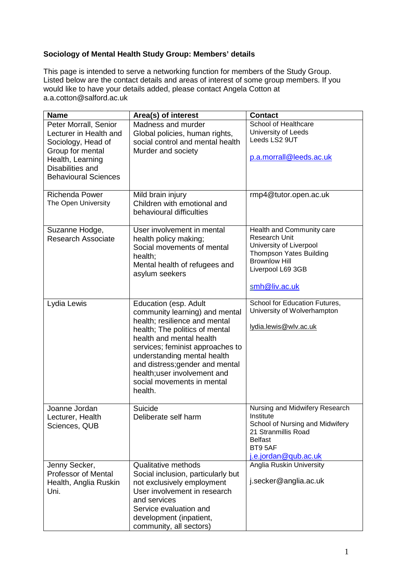## **Sociology of Mental Health Study Group: Members' details**

This page is intended to serve a networking function for members of the Study Group. Listed below are the contact details and areas of interest of some group members. If you would like to have your details added, please contact Angela Cotton at a.a.cotton@salford.ac.uk

| <b>Name</b>                                                                                                                                                      | Area(s) of interest                                                                                                                                                                                                                                                                                                                   | <b>Contact</b>                                                                                                                                                        |
|------------------------------------------------------------------------------------------------------------------------------------------------------------------|---------------------------------------------------------------------------------------------------------------------------------------------------------------------------------------------------------------------------------------------------------------------------------------------------------------------------------------|-----------------------------------------------------------------------------------------------------------------------------------------------------------------------|
| Peter Morrall, Senior<br>Lecturer in Health and<br>Sociology, Head of<br>Group for mental<br>Health, Learning<br>Disabilities and<br><b>Behavioural Sciences</b> | Madness and murder<br>Global policies, human rights,<br>social control and mental health<br>Murder and society                                                                                                                                                                                                                        | School of Healthcare<br>University of Leeds<br>Leeds LS2 9UT<br>p.a.morrall@leeds.ac.uk                                                                               |
| Richenda Power<br>The Open University                                                                                                                            | Mild brain injury<br>Children with emotional and<br>behavioural difficulties                                                                                                                                                                                                                                                          | rmp4@tutor.open.ac.uk                                                                                                                                                 |
| Suzanne Hodge,<br><b>Research Associate</b>                                                                                                                      | User involvement in mental<br>health policy making;<br>Social movements of mental<br>health;<br>Mental health of refugees and<br>asylum seekers                                                                                                                                                                                       | Health and Community care<br>Research Unit<br>University of Liverpool<br><b>Thompson Yates Building</b><br><b>Brownlow Hill</b><br>Liverpool L69 3GB<br>smh@liv.ac.uk |
| Lydia Lewis                                                                                                                                                      | Education (esp. Adult<br>community learning) and mental<br>health; resilience and mental<br>health; The politics of mental<br>health and mental health<br>services; feminist approaches to<br>understanding mental health<br>and distress; gender and mental<br>health; user involvement and<br>social movements in mental<br>health. | School for Education Futures,<br>University of Wolverhampton<br>lydia.lewis@wlv.ac.uk                                                                                 |
| Joanne Jordan<br>Lecturer, Health<br>Sciences, QUB                                                                                                               | Suicide<br>Deliberate self harm                                                                                                                                                                                                                                                                                                       | Nursing and Midwifery Research<br>Institute<br>School of Nursing and Midwifery<br>21 Stranmillis Road<br><b>Belfast</b><br>BT95AF<br>j.e.jordan@qub.ac.uk             |
| Jenny Secker,<br><b>Professor of Mental</b><br>Health, Anglia Ruskin<br>Uni.                                                                                     | <b>Qualitative methods</b><br>Social inclusion, particularly but<br>not exclusively employment<br>User involvement in research<br>and services<br>Service evaluation and<br>development (inpatient,<br>community, all sectors)                                                                                                        | Anglia Ruskin University<br>j.secker@anglia.ac.uk                                                                                                                     |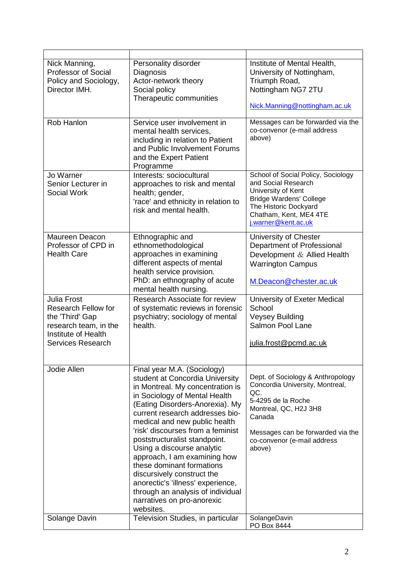| Nick Manning,<br>Professor of Social<br>Policy and Sociology,<br>Director IMH.                                                                  | Personality disorder<br>Diagnosis<br>Actor-network theory<br>Social policy<br>Therapeutic communities                                                                                                                                                                                                                                                                                                                                                                                                                                                          | Institute of Mental Health,<br>University of Nottingham,<br>Triumph Road,<br>Nottingham NG7 2TU<br>Nick.Manning@nottingham.ac.uk                                                                                   |
|-------------------------------------------------------------------------------------------------------------------------------------------------|----------------------------------------------------------------------------------------------------------------------------------------------------------------------------------------------------------------------------------------------------------------------------------------------------------------------------------------------------------------------------------------------------------------------------------------------------------------------------------------------------------------------------------------------------------------|--------------------------------------------------------------------------------------------------------------------------------------------------------------------------------------------------------------------|
| Rob Hanlon                                                                                                                                      | Service user involvement in<br>mental health services,<br>including in relation to Patient<br>and Public Involvement Forums<br>and the Expert Patient<br>Programme                                                                                                                                                                                                                                                                                                                                                                                             | Messages can be forwarded via the<br>co-convenor (e-mail address<br>above)                                                                                                                                         |
| Jo Warner<br>Senior Lecturer in<br><b>Social Work</b>                                                                                           | Interests: sociocultural<br>approaches to risk and mental<br>health; gender,<br>'race' and ethnicity in relation to<br>risk and mental health.                                                                                                                                                                                                                                                                                                                                                                                                                 | School of Social Policy, Sociology<br>and Social Research<br>University of Kent<br><b>Bridge Wardens' College</b><br>The Historic Dockyard<br>Chatham, Kent, ME4 4TE<br>j.warner@kent.ac.uk                        |
| Maureen Deacon<br>Professor of CPD in<br><b>Health Care</b>                                                                                     | Ethnographic and<br>ethnomethodological<br>approaches in examining<br>different aspects of mental<br>health service provision.<br>PhD: an ethnography of acute<br>mental health nursing.                                                                                                                                                                                                                                                                                                                                                                       | University of Chester<br>Department of Professional<br>Development & Allied Health<br><b>Warrington Campus</b><br>M.Deacon@chester.ac.uk                                                                           |
| <b>Julia Frost</b><br><b>Research Fellow for</b><br>the 'Third' Gap<br>research team, in the<br>Institute of Health<br><b>Services Research</b> | Research Associate for review<br>of systematic reviews in forensic<br>psychiatry; sociology of mental<br>health.                                                                                                                                                                                                                                                                                                                                                                                                                                               | University of Exeter Medical<br>School<br><b>Veysey Building</b><br>Salmon Pool Lane<br>julia.frost@pcmd.ac.uk                                                                                                     |
| Jodie Allen                                                                                                                                     | Final year M.A. (Sociology)<br>student at Concordia University<br>in Montreal. My concentration is<br>in Sociology of Mental Health<br>(Eating Disorders-Anorexia). My<br>current research addresses bio-<br>medical and new public health<br>'risk' discourses from a feminist<br>poststructuralist standpoint.<br>Using a discourse analytic<br>approach, I am examining how<br>these dominant formations<br>discursively construct the<br>anorectic's 'illness' experience,<br>through an analysis of individual<br>narratives on pro-anorexic<br>websites. | Dept. of Sociology & Anthropology<br>Concordia University, Montreal,<br>QC.<br>5-4295 de la Roche<br>Montreal, QC, H2J 3H8<br>Canada<br>Messages can be forwarded via the<br>co-convenor (e-mail address<br>above) |
| Solange Davin                                                                                                                                   | Television Studies, in particular                                                                                                                                                                                                                                                                                                                                                                                                                                                                                                                              | SolangeDavin<br>PO Box 8444                                                                                                                                                                                        |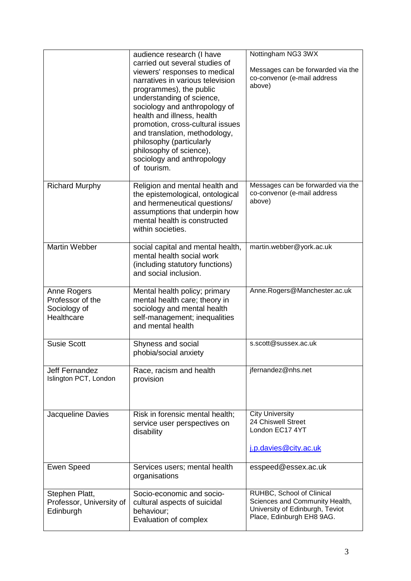|                                                               | audience research (I have<br>carried out several studies of<br>viewers' responses to medical<br>narratives in various television<br>programmes), the public<br>understanding of science,<br>sociology and anthropology of<br>health and illness, health<br>promotion, cross-cultural issues<br>and translation, methodology,<br>philosophy (particularly<br>philosophy of science),<br>sociology and anthropology<br>of tourism. | Nottingham NG3 3WX<br>Messages can be forwarded via the<br>co-convenor (e-mail address<br>above)                            |
|---------------------------------------------------------------|----------------------------------------------------------------------------------------------------------------------------------------------------------------------------------------------------------------------------------------------------------------------------------------------------------------------------------------------------------------------------------------------------------------------------------|-----------------------------------------------------------------------------------------------------------------------------|
| <b>Richard Murphy</b>                                         | Religion and mental health and<br>the epistemological, ontological<br>and hermeneutical questions/<br>assumptions that underpin how<br>mental health is constructed<br>within societies.                                                                                                                                                                                                                                         | Messages can be forwarded via the<br>co-convenor (e-mail address<br>above)                                                  |
| <b>Martin Webber</b>                                          | social capital and mental health,<br>mental health social work<br>(including statutory functions)<br>and social inclusion.                                                                                                                                                                                                                                                                                                       | martin.webber@york.ac.uk                                                                                                    |
| Anne Rogers<br>Professor of the<br>Sociology of<br>Healthcare | Mental health policy; primary<br>mental health care; theory in<br>sociology and mental health<br>self-management; inequalities<br>and mental health                                                                                                                                                                                                                                                                              | Anne.Rogers@Manchester.ac.uk                                                                                                |
| <b>Susie Scott</b>                                            | Shyness and social<br>phobia/social anxiety                                                                                                                                                                                                                                                                                                                                                                                      | s.scott@sussex.ac.uk                                                                                                        |
| <b>Jeff Fernandez</b><br>Islington PCT, London                | Race, racism and health<br>provision                                                                                                                                                                                                                                                                                                                                                                                             | jfernandez@nhs.net                                                                                                          |
| Jacqueline Davies                                             | Risk in forensic mental health;<br>service user perspectives on<br>disability                                                                                                                                                                                                                                                                                                                                                    | <b>City University</b><br>24 Chiswell Street<br>London EC17 4YT<br>j.p.davies @city.ac.uk                                   |
| <b>Ewen Speed</b>                                             | Services users; mental health<br>organisations                                                                                                                                                                                                                                                                                                                                                                                   | esspeed@essex.ac.uk                                                                                                         |
| Stephen Platt,<br>Professor, University of<br>Edinburgh       | Socio-economic and socio-<br>cultural aspects of suicidal<br>behaviour;<br>Evaluation of complex                                                                                                                                                                                                                                                                                                                                 | RUHBC, School of Clinical<br>Sciences and Community Health,<br>University of Edinburgh, Teviot<br>Place, Edinburgh EH8 9AG. |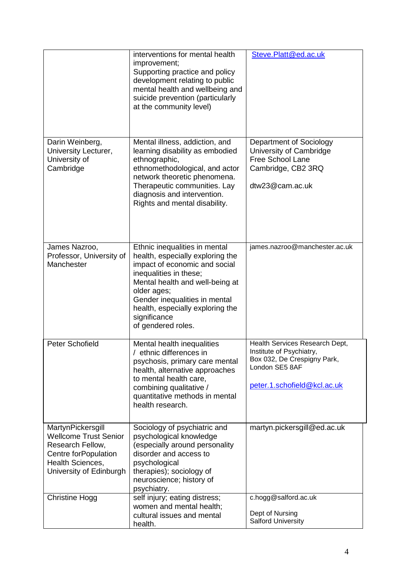|                                                                                                                                              | interventions for mental health<br>improvement;<br>Supporting practice and policy<br>development relating to public<br>mental health and wellbeing and<br>suicide prevention (particularly<br>at the community level)                                                                     | Steve.Platt@ed.ac.uk                                                                                                                       |
|----------------------------------------------------------------------------------------------------------------------------------------------|-------------------------------------------------------------------------------------------------------------------------------------------------------------------------------------------------------------------------------------------------------------------------------------------|--------------------------------------------------------------------------------------------------------------------------------------------|
| Darin Weinberg,<br>University Lecturer,<br>University of<br>Cambridge                                                                        | Mental illness, addiction, and<br>learning disability as embodied<br>ethnographic,<br>ethnomethodological, and actor<br>network theoretic phenomena.<br>Therapeutic communities. Lay<br>diagnosis and intervention.<br>Rights and mental disability.                                      | Department of Sociology<br>University of Cambridge<br><b>Free School Lane</b><br>Cambridge, CB2 3RQ<br>dtw23@cam.ac.uk                     |
| James Nazroo,<br>Professor, University of<br>Manchester                                                                                      | Ethnic inequalities in mental<br>health, especially exploring the<br>impact of economic and social<br>inequalities in these;<br>Mental health and well-being at<br>older ages;<br>Gender inequalities in mental<br>health, especially exploring the<br>significance<br>of gendered roles. | james.nazroo@manchester.ac.uk                                                                                                              |
| Peter Schofield                                                                                                                              | Mental health inequalities<br>/ ethnic differences in<br>psychosis, primary care mental<br>health, alternative approaches<br>to mental health care,<br>combining qualitative /<br>quantitative methods in mental<br>health research.                                                      | Health Services Research Dept,<br>Institute of Psychiatry,<br>Box 032, De Crespigny Park,<br>London SE5 8AF<br>peter.1.schofield@kcl.ac.uk |
| MartynPickersgill<br><b>Wellcome Trust Senior</b><br>Research Fellow,<br>Centre forPopulation<br>Health Sciences,<br>University of Edinburgh | Sociology of psychiatric and<br>psychological knowledge<br>(especially around personality<br>disorder and access to<br>psychological<br>therapies); sociology of<br>neuroscience; history of<br>psychiatry.                                                                               | martyn.pickersgill@ed.ac.uk                                                                                                                |
| <b>Christine Hogg</b>                                                                                                                        | self injury; eating distress;<br>women and mental health;<br>cultural issues and mental<br>health.                                                                                                                                                                                        | c.hogg@salford.ac.uk<br>Dept of Nursing<br><b>Salford University</b>                                                                       |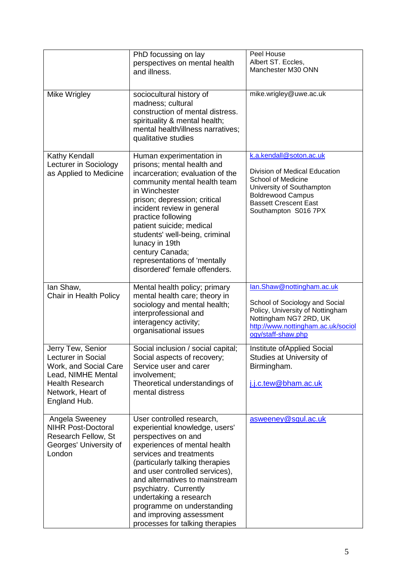| Mike Wrigley                                                                                                                                          | PhD focussing on lay<br>perspectives on mental health<br>and illness.<br>sociocultural history of<br>madness; cultural                                                                                                                                                                                                                                                                               | Peel House<br>Albert ST. Eccles,<br>Manchester M30 ONN<br>mike.wrigley@uwe.ac.uk                                                                                                                |
|-------------------------------------------------------------------------------------------------------------------------------------------------------|------------------------------------------------------------------------------------------------------------------------------------------------------------------------------------------------------------------------------------------------------------------------------------------------------------------------------------------------------------------------------------------------------|-------------------------------------------------------------------------------------------------------------------------------------------------------------------------------------------------|
|                                                                                                                                                       | construction of mental distress.<br>spirituality & mental health;<br>mental health/illness narratives;<br>qualitative studies                                                                                                                                                                                                                                                                        |                                                                                                                                                                                                 |
| Kathy Kendall<br>Lecturer in Sociology<br>as Applied to Medicine                                                                                      | Human experimentation in<br>prisons; mental health and<br>incarceration; evaluation of the<br>community mental health team<br>in Winchester<br>prison; depression; critical<br>incident review in general<br>practice following<br>patient suicide; medical<br>students' well-being, criminal<br>lunacy in 19th<br>century Canada;<br>representations of 'mentally<br>disordered' female offenders.  | k.a.kendall@soton.ac.uk<br>Division of Medical Education<br>School of Medicine<br>University of Southampton<br><b>Boldrewood Campus</b><br><b>Bassett Crescent East</b><br>Southampton S016 7PX |
| lan Shaw,<br>Chair in Health Policy                                                                                                                   | Mental health policy; primary<br>mental health care; theory in<br>sociology and mental health;<br>interprofessional and<br>interagency activity;<br>organisational issues                                                                                                                                                                                                                            | lan.Shaw@nottingham.ac.uk<br>School of Sociology and Social<br>Policy, University of Nottingham<br>Nottingham NG7 2RD, UK<br>http://www.nottingham.ac.uk/sociol<br>ogy/staff-shaw.php           |
| Jerry Tew, Senior<br>Lecturer in Social<br>Work, and Social Care<br>Lead, NIMHE Mental<br><b>Health Research</b><br>Network, Heart of<br>England Hub. | Social inclusion / social capital;<br>Social aspects of recovery;<br>Service user and carer<br>involvement;<br>Theoretical understandings of<br>mental distress                                                                                                                                                                                                                                      | Institute of Applied Social<br>Studies at University of<br>Birmingham.<br>j.j.c.tew@bham.ac.uk                                                                                                  |
| Angela Sweeney<br><b>NIHR Post-Doctoral</b><br>Research Fellow, St<br>Georges' University of<br>London                                                | User controlled research,<br>experiential knowledge, users'<br>perspectives on and<br>experiences of mental health<br>services and treatments<br>(particularly talking therapies<br>and user controlled services),<br>and alternatives to mainstream<br>psychiatry. Currently<br>undertaking a research<br>programme on understanding<br>and improving assessment<br>processes for talking therapies | asweeney@sgul.ac.uk                                                                                                                                                                             |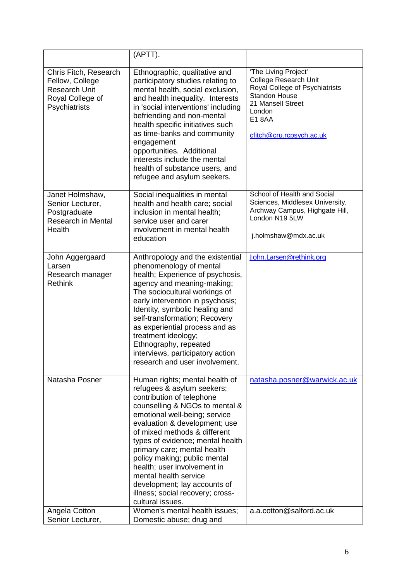|                                                                                                       | (APTT).                                                                                                                                                                                                                                                                                                                                                                                                                                                                          |                                                                                                                                                                                           |
|-------------------------------------------------------------------------------------------------------|----------------------------------------------------------------------------------------------------------------------------------------------------------------------------------------------------------------------------------------------------------------------------------------------------------------------------------------------------------------------------------------------------------------------------------------------------------------------------------|-------------------------------------------------------------------------------------------------------------------------------------------------------------------------------------------|
| Chris Fitch, Research<br>Fellow, College<br><b>Research Unit</b><br>Royal College of<br>Psychiatrists | Ethnographic, qualitative and<br>participatory studies relating to<br>mental health, social exclusion,<br>and health inequality. Interests<br>in 'social interventions' including<br>befriending and non-mental<br>health specific initiatives such<br>as time-banks and community<br>engagement<br>opportunities. Additional<br>interests include the mental<br>health of substance users, and<br>refugee and asylum seekers.                                                   | 'The Living Project'<br><b>College Research Unit</b><br>Royal College of Psychiatrists<br><b>Standon House</b><br>21 Mansell Street<br>London<br><b>E18AA</b><br>cfitch@cru.rcpsych.ac.uk |
| Janet Holmshaw,<br>Senior Lecturer,<br>Postgraduate<br><b>Research in Mental</b><br>Health            | Social inequalities in mental<br>health and health care; social<br>inclusion in mental health;<br>service user and carer<br>involvement in mental health<br>education                                                                                                                                                                                                                                                                                                            | School of Health and Social<br>Sciences, Middlesex University,<br>Archway Campus, Highgate Hill,<br>London N19 5LW<br>j.holmshaw@mdx.ac.uk                                                |
| John Aggergaard<br>Larsen<br>Research manager<br><b>Rethink</b>                                       | Anthropology and the existential<br>phenomenology of mental<br>health; Experience of psychosis,<br>agency and meaning-making;<br>The sociocultural workings of<br>early intervention in psychosis;<br>Identity, symbolic healing and<br>self-transformation; Recovery<br>as experiential process and as<br>treatment ideology;<br>Ethnography, repeated<br>interviews, participatory action<br>research and user involvement.                                                    | John.Larsen@rethink.org                                                                                                                                                                   |
| Natasha Posner                                                                                        | Human rights; mental health of<br>refugees & asylum seekers;<br>contribution of telephone<br>counselling & NGOs to mental &<br>emotional well-being; service<br>evaluation & development; use<br>of mixed methods & different<br>types of evidence; mental health<br>primary care; mental health<br>policy making; public mental<br>health; user involvement in<br>mental health service<br>development; lay accounts of<br>illness; social recovery; cross-<br>cultural issues. | natasha.posner@warwick.ac.uk                                                                                                                                                              |
| Angela Cotton<br>Senior Lecturer,                                                                     | Women's mental health issues;<br>Domestic abuse; drug and                                                                                                                                                                                                                                                                                                                                                                                                                        | a.a.cotton@salford.ac.uk                                                                                                                                                                  |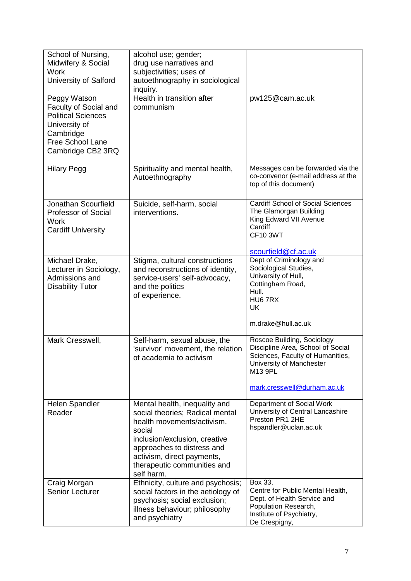| School of Nursing,<br>Midwifery & Social<br><b>Work</b><br>University of Salford                                                          | alcohol use; gender;<br>drug use narratives and<br>subjectivities; uses of<br>autoethnography in sociological<br>inquiry.                                                                                                                          |                                                                                                                                                                           |
|-------------------------------------------------------------------------------------------------------------------------------------------|----------------------------------------------------------------------------------------------------------------------------------------------------------------------------------------------------------------------------------------------------|---------------------------------------------------------------------------------------------------------------------------------------------------------------------------|
| Peggy Watson<br>Faculty of Social and<br><b>Political Sciences</b><br>University of<br>Cambridge<br>Free School Lane<br>Cambridge CB2 3RQ | Health in transition after<br>communism                                                                                                                                                                                                            | pw125@cam.ac.uk                                                                                                                                                           |
| <b>Hilary Pegg</b>                                                                                                                        | Spirituality and mental health,<br>Autoethnography                                                                                                                                                                                                 | Messages can be forwarded via the<br>co-convenor (e-mail address at the<br>top of this document)                                                                          |
| Jonathan Scourfield<br>Professor of Social<br>Work<br><b>Cardiff University</b>                                                           | Suicide, self-harm, social<br>interventions.                                                                                                                                                                                                       | <b>Cardiff School of Social Sciences</b><br>The Glamorgan Building<br>King Edward VII Avenue<br>Cardiff<br><b>CF10 3WT</b><br>scourfield@cf.ac.uk                         |
| Michael Drake,<br>Lecturer in Sociology,<br>Admissions and<br><b>Disability Tutor</b>                                                     | Stigma, cultural constructions<br>and reconstructions of identity,<br>service-users' self-advocacy,<br>and the politics<br>of experience.                                                                                                          | Dept of Criminology and<br>Sociological Studies,<br>University of Hull,<br>Cottingham Road,<br>Hull.<br>HU67RX<br>UK<br>m.drake@hull.ac.uk                                |
| Mark Cresswell,                                                                                                                           | Self-harm, sexual abuse, the<br>'survivor' movement, the relation<br>of academia to activism                                                                                                                                                       | Roscoe Building, Sociology<br>Discipline Area, School of Social<br>Sciences, Faculty of Humanities,<br>University of Manchester<br>M13 9PL<br>mark.cresswell@durham.ac.uk |
| Helen Spandler<br>Reader                                                                                                                  | Mental health, inequality and<br>social theories; Radical mental<br>health movements/activism,<br>social<br>inclusion/exclusion, creative<br>approaches to distress and<br>activism, direct payments,<br>therapeutic communities and<br>self harm. | Department of Social Work<br>University of Central Lancashire<br>Preston PR1 2HE<br>hspandler@uclan.ac.uk                                                                 |
| Craig Morgan<br>Senior Lecturer                                                                                                           | Ethnicity, culture and psychosis;<br>social factors in the aetiology of<br>psychosis; social exclusion;<br>illness behaviour; philosophy<br>and psychiatry                                                                                         | Box 33,<br>Centre for Public Mental Health,<br>Dept. of Health Service and<br>Population Research,<br>Institute of Psychiatry,<br>De Crespigny,                           |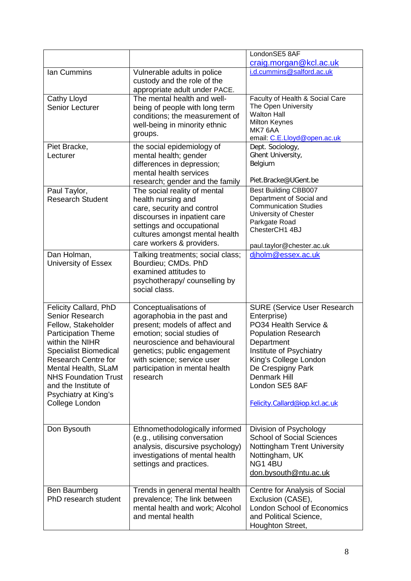|                                                                                                                                                                                                                                                                                                                      |                                                                                                                                                                                                                                                                | LondonSE5 8AF                                                                                                                                                                                                                                                              |
|----------------------------------------------------------------------------------------------------------------------------------------------------------------------------------------------------------------------------------------------------------------------------------------------------------------------|----------------------------------------------------------------------------------------------------------------------------------------------------------------------------------------------------------------------------------------------------------------|----------------------------------------------------------------------------------------------------------------------------------------------------------------------------------------------------------------------------------------------------------------------------|
| Ian Cummins                                                                                                                                                                                                                                                                                                          | Vulnerable adults in police<br>custody and the role of the<br>appropriate adult under PACE.                                                                                                                                                                    | craig.morgan@kcl.ac.uk<br>i.d.cummins@salford.ac.uk                                                                                                                                                                                                                        |
| Cathy Lloyd<br>Senior Lecturer                                                                                                                                                                                                                                                                                       | The mental health and well-<br>being of people with long term<br>conditions; the measurement of<br>well-being in minority ethnic<br>groups.                                                                                                                    | Faculty of Health & Social Care<br>The Open University<br><b>Walton Hall</b><br><b>Milton Keynes</b><br>MK7 6AA<br>email: C.E.Lloyd@open.ac.uk                                                                                                                             |
| Piet Bracke,<br>Lecturer                                                                                                                                                                                                                                                                                             | the social epidemiology of<br>mental health; gender<br>differences in depression;<br>mental health services<br>research; gender and the family                                                                                                                 | Dept. Sociology,<br>Ghent University,<br>Belgium<br>Piet.Bracke@UGent.be                                                                                                                                                                                                   |
| Paul Taylor,<br><b>Research Student</b>                                                                                                                                                                                                                                                                              | The social reality of mental<br>health nursing and<br>care, security and control<br>discourses in inpatient care<br>settings and occupational<br>cultures amongst mental health<br>care workers & providers.                                                   | <b>Best Building CBB007</b><br>Department of Social and<br><b>Communication Studies</b><br>University of Chester<br>Parkgate Road<br>ChesterCH1 4BJ<br>paul.taylor@chester.ac.uk                                                                                           |
| Dan Holman,<br>University of Essex                                                                                                                                                                                                                                                                                   | Talking treatments; social class;<br>Bourdieu; CMDs. PhD<br>examined attitudes to<br>psychotherapy/counselling by<br>social class.                                                                                                                             | djholm@essex.ac.uk                                                                                                                                                                                                                                                         |
| <b>Felicity Callard, PhD</b><br><b>Senior Research</b><br>Fellow, Stakeholder<br><b>Participation Theme</b><br>within the NIHR<br><b>Specialist Biomedical</b><br><b>Research Centre for</b><br>Mental Health, SLaM<br><b>NHS Foundation Trust</b><br>and the Institute of<br>Psychiatry at King's<br>College London | Conceptualisations of<br>agoraphobia in the past and<br>present; models of affect and<br>emotion; social studies of<br>neuroscience and behavioural<br>genetics; public engagement<br>with science; service user<br>participation in mental health<br>research | <b>SURE (Service User Research</b><br>Enterprise)<br>PO34 Health Service &<br><b>Population Research</b><br>Department<br>Institute of Psychiatry<br>King's College London<br>De Crespigny Park<br><b>Denmark Hill</b><br>London SE5 8AF<br>Felicity.Callard@iop.kcl.ac.uk |
| Don Bysouth                                                                                                                                                                                                                                                                                                          | Ethnomethodologically informed<br>(e.g., utilising conversation<br>analysis, discursive psychology)<br>investigations of mental health<br>settings and practices.                                                                                              | Division of Psychology<br><b>School of Social Sciences</b><br>Nottingham Trent University<br>Nottingham, UK<br>NG14BU<br>don.bysouth@ntu.ac.uk                                                                                                                             |
| Ben Baumberg<br>PhD research student                                                                                                                                                                                                                                                                                 | Trends in general mental health<br>prevalence; The link between<br>mental health and work; Alcohol<br>and mental health                                                                                                                                        | Centre for Analysis of Social<br>Exclusion (CASE),<br><b>London School of Economics</b><br>and Political Science,<br>Houghton Street,                                                                                                                                      |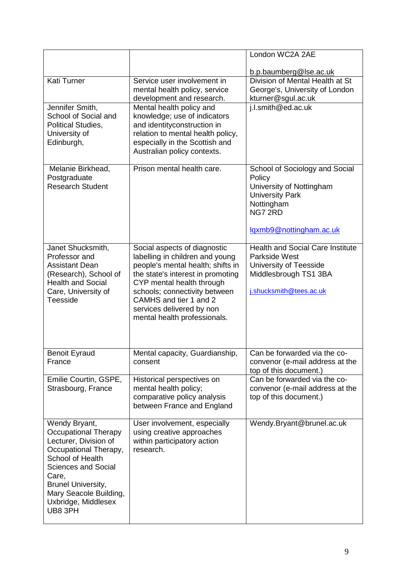|                                                                                                                                                                                                                                             |                                                                                                                                                                                                                                                                                                | London WC2A 2AE                                                                                                                                    |
|---------------------------------------------------------------------------------------------------------------------------------------------------------------------------------------------------------------------------------------------|------------------------------------------------------------------------------------------------------------------------------------------------------------------------------------------------------------------------------------------------------------------------------------------------|----------------------------------------------------------------------------------------------------------------------------------------------------|
|                                                                                                                                                                                                                                             |                                                                                                                                                                                                                                                                                                | b.p.baumberg@lse.ac.uk                                                                                                                             |
| <b>Kati Turner</b>                                                                                                                                                                                                                          | Service user involvement in<br>mental health policy, service<br>development and research.                                                                                                                                                                                                      | Division of Mental Health at St<br>George's, University of London<br>kturner@sgul.ac.uk                                                            |
| Jennifer Smith,<br>School of Social and<br><b>Political Studies,</b><br>University of<br>Edinburgh,                                                                                                                                         | Mental health policy and<br>knowledge; use of indicators<br>and identityconstruction in<br>relation to mental health policy,<br>especially in the Scottish and<br>Australian policy contexts.                                                                                                  | j.l.smith@ed.ac.uk                                                                                                                                 |
| Melanie Birkhead,<br>Postgraduate<br><b>Research Student</b>                                                                                                                                                                                | Prison mental health care.                                                                                                                                                                                                                                                                     | School of Sociology and Social<br>Policy<br>University of Nottingham<br><b>University Park</b><br>Nottingham<br>NG7 2RD<br>lgxmb9@nottingham.ac.uk |
| Janet Shucksmith,<br>Professor and<br><b>Assistant Dean</b><br>(Research), School of<br><b>Health and Social</b><br>Care, University of<br>Teesside                                                                                         | Social aspects of diagnostic<br>labelling in children and young<br>people's mental health; shifts in<br>the state's interest in promoting<br>CYP mental health through<br>schools; connectivity between<br>CAMHS and tier 1 and 2<br>services delivered by non<br>mental health professionals. | <b>Health and Social Care Institute</b><br>Parkside West<br>University of Teesside<br>Middlesbrough TS1 3BA<br>j.shucksmith@tees.ac.uk             |
| <b>Benoit Eyraud</b><br>France                                                                                                                                                                                                              | Mental capacity, Guardianship,<br>consent                                                                                                                                                                                                                                                      | Can be forwarded via the co-<br>convenor (e-mail address at the<br>top of this document.)                                                          |
| Emilie Courtin, GSPE,<br>Strasbourg, France                                                                                                                                                                                                 | Historical perspectives on<br>mental health policy;<br>comparative policy analysis<br>between France and England                                                                                                                                                                               | Can be forwarded via the co-<br>convenor (e-mail address at the<br>top of this document.)                                                          |
| Wendy Bryant,<br>Occupational Therapy<br>Lecturer, Division of<br>Occupational Therapy,<br>School of Health<br><b>Sciences and Social</b><br>Care,<br><b>Brunel University,</b><br>Mary Seacole Building,<br>Uxbridge, Middlesex<br>UB8 3PH | User involvement, especially<br>using creative approaches<br>within participatory action<br>research.                                                                                                                                                                                          | Wendy.Bryant@brunel.ac.uk                                                                                                                          |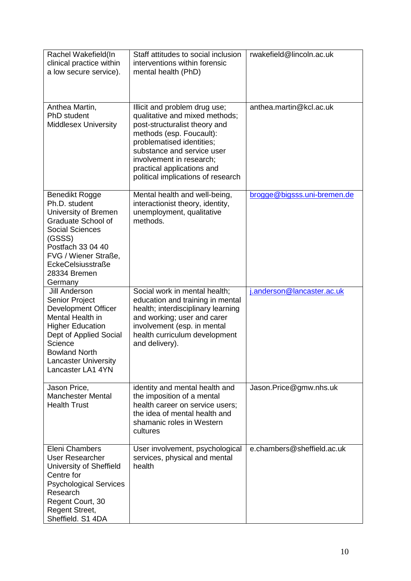| Rachel Wakefield(In<br>clinical practice within<br>a low secure service).                                                                                                                                                            | Staff attitudes to social inclusion<br>interventions within forensic<br>mental health (PhD)                                                                                                                                                                                             | rwakefield@lincoln.ac.uk    |
|--------------------------------------------------------------------------------------------------------------------------------------------------------------------------------------------------------------------------------------|-----------------------------------------------------------------------------------------------------------------------------------------------------------------------------------------------------------------------------------------------------------------------------------------|-----------------------------|
| Anthea Martin,<br>PhD student<br><b>Middlesex University</b>                                                                                                                                                                         | Illicit and problem drug use;<br>qualitative and mixed methods;<br>post-structuralist theory and<br>methods (esp. Foucault):<br>problematised identities;<br>substance and service user<br>involvement in research;<br>practical applications and<br>political implications of research | anthea.martin@kcl.ac.uk     |
| Benedikt Rogge<br>Ph.D. student<br>University of Bremen<br>Graduate School of<br><b>Social Sciences</b><br>(GSSS)<br>Postfach 33 04 40<br>FVG / Wiener Straße,<br>EckeCelsiusstraße<br>28334 Bremen<br>Germany                       | Mental health and well-being,<br>interactionist theory, identity,<br>unemployment, qualitative<br>methods.                                                                                                                                                                              | brogge@bigsss.uni-bremen.de |
| <b>Jill Anderson</b><br>Senior Project<br><b>Development Officer</b><br>Mental Health in<br><b>Higher Education</b><br>Dept of Applied Social<br>Science<br><b>Bowland North</b><br><b>Lancaster University</b><br>Lancaster LA1 4YN | Social work in mental health;<br>education and training in mental<br>health; interdisciplinary learning<br>and working; user and carer<br>involvement (esp. in mental<br>health curriculum development<br>and delivery).                                                                | j.anderson@lancaster.ac.uk  |
| Jason Price,<br><b>Manchester Mental</b><br><b>Health Trust</b>                                                                                                                                                                      | identity and mental health and<br>the imposition of a mental<br>health career on service users;<br>the idea of mental health and<br>shamanic roles in Western<br>cultures                                                                                                               | Jason.Price@gmw.nhs.uk      |
| Eleni Chambers<br>User Researcher<br>University of Sheffield<br>Centre for<br><b>Psychological Services</b><br>Research<br>Regent Court, 30<br><b>Regent Street,</b><br>Sheffield. S1 4DA                                            | User involvement, psychological<br>services, physical and mental<br>health                                                                                                                                                                                                              | e.chambers@sheffield.ac.uk  |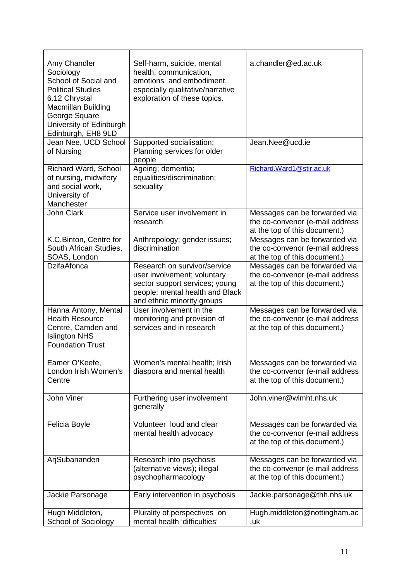| Amy Chandler<br>Sociology<br>School of Social and<br><b>Political Studies</b><br>6.12 Chrystal<br><b>Macmillan Building</b><br>George Square<br>University of Edinburgh<br>Edinburgh, EH8 9LD | Self-harm, suicide, mental<br>health, communication,<br>emotions and embodiment,<br>especially qualitative/narrative<br>exploration of these topics.           | a.chandler@ed.ac.uk                                                                               |
|-----------------------------------------------------------------------------------------------------------------------------------------------------------------------------------------------|----------------------------------------------------------------------------------------------------------------------------------------------------------------|---------------------------------------------------------------------------------------------------|
| Jean Nee, UCD School<br>of Nursing                                                                                                                                                            | Supported socialisation;<br>Planning services for older<br>people                                                                                              | Jean.Nee@ucd.ie                                                                                   |
| Richard Ward, School<br>of nursing, midwifery<br>and social work,<br>University of<br>Manchester                                                                                              | Ageing; dementia;<br>equalities/discrimination;<br>sexuality                                                                                                   | Richard.Ward1@stir.ac.uk                                                                          |
| John Clark                                                                                                                                                                                    | Service user involvement in<br>research                                                                                                                        | Messages can be forwarded via<br>the co-convenor (e-mail address<br>at the top of this document.) |
| K.C.Binton, Centre for<br>South African Studies,<br>SOAS, London                                                                                                                              | Anthropology; gender issues;<br>discrimination                                                                                                                 | Messages can be forwarded via<br>the co-convenor (e-mail address<br>at the top of this document.) |
| <b>DzifaAfonca</b>                                                                                                                                                                            | Research on survivor/service<br>user involvement; voluntary<br>sector support services; young<br>people; mental health and Black<br>and ethnic minority groups | Messages can be forwarded via<br>the co-convenor (e-mail address<br>at the top of this document.) |
| Hanna Antony, Mental<br><b>Health Resource</b><br>Centre, Camden and<br><b>Islington NHS</b><br><b>Foundation Trust</b>                                                                       | User involvement in the<br>monitoring and provision of<br>services and in research                                                                             | Messages can be forwarded via<br>the co-convenor (e-mail address<br>at the top of this document.) |
| Eamer O'Keefe,<br>London Irish Women's<br>Centre                                                                                                                                              | Women's mental health; Irish<br>diaspora and mental health                                                                                                     | Messages can be forwarded via<br>the co-convenor (e-mail address<br>at the top of this document.) |
| John Viner                                                                                                                                                                                    | Furthering user involvement<br>generally                                                                                                                       | John.viner@wlmht.nhs.uk                                                                           |
| Felicia Boyle                                                                                                                                                                                 | Volunteer loud and clear<br>mental health advocacy                                                                                                             | Messages can be forwarded via<br>the co-convenor (e-mail address<br>at the top of this document.) |
| ArjSubananden                                                                                                                                                                                 | Research into psychosis<br>(alternative views); illegal<br>psychopharmacology                                                                                  | Messages can be forwarded via<br>the co-convenor (e-mail address<br>at the top of this document.) |
| Jackie Parsonage                                                                                                                                                                              | Early intervention in psychosis                                                                                                                                | Jackie.parsonage@thh.nhs.uk                                                                       |
| Hugh Middleton,<br><b>School of Sociology</b>                                                                                                                                                 | Plurality of perspectives on<br>mental health 'difficulties'                                                                                                   | Hugh.middleton@nottingham.ac<br>.uk                                                               |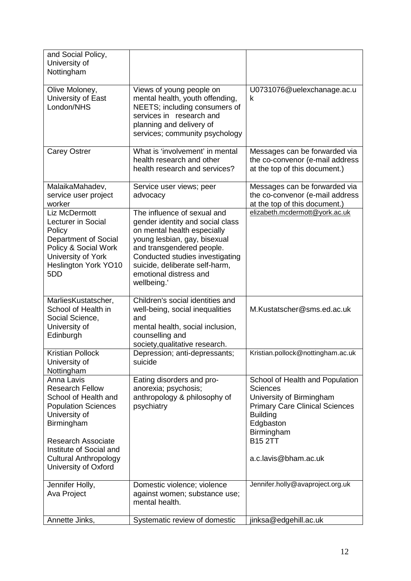| and Social Policy,<br>University of<br>Nottingham                                                                                                                                                                                         |                                                                                                                                                                                                                                                                           |                                                                                                                                                                                                                 |
|-------------------------------------------------------------------------------------------------------------------------------------------------------------------------------------------------------------------------------------------|---------------------------------------------------------------------------------------------------------------------------------------------------------------------------------------------------------------------------------------------------------------------------|-----------------------------------------------------------------------------------------------------------------------------------------------------------------------------------------------------------------|
| Olive Moloney,<br>University of East<br>London/NHS                                                                                                                                                                                        | Views of young people on<br>mental health, youth offending,<br>NEETS; including consumers of<br>services in research and<br>planning and delivery of<br>services; community psychology                                                                                    | U0731076@uelexchanage.ac.u<br>k                                                                                                                                                                                 |
| <b>Carey Ostrer</b>                                                                                                                                                                                                                       | What is 'involvement' in mental<br>health research and other<br>health research and services?                                                                                                                                                                             | Messages can be forwarded via<br>the co-convenor (e-mail address<br>at the top of this document.)                                                                                                               |
| MalaikaMahadev,<br>service user project<br>worker                                                                                                                                                                                         | Service user views; peer<br>advocacy                                                                                                                                                                                                                                      | Messages can be forwarded via<br>the co-convenor (e-mail address<br>at the top of this document.)                                                                                                               |
| Liz McDermott<br><b>Lecturer in Social</b><br>Policy<br>Department of Social<br>Policy & Social Work<br>University of York<br>Heslington York YO10<br>5DD                                                                                 | The influence of sexual and<br>gender identity and social class<br>on mental health especially<br>young lesbian, gay, bisexual<br>and transgendered people.<br>Conducted studies investigating<br>suicide, deliberate self-harm,<br>emotional distress and<br>wellbeing.' | elizabeth.mcdermott@york.ac.uk                                                                                                                                                                                  |
| MarliesKustatscher,<br>School of Health in<br>Social Science,<br>University of<br>Edinburgh                                                                                                                                               | Children's social identities and<br>well-being, social inequalities<br>and<br>mental health, social inclusion,<br>counselling and<br>society, qualitative research.                                                                                                       | M.Kustatscher@sms.ed.ac.uk                                                                                                                                                                                      |
| <b>Kristian Pollock</b><br>University of<br>Nottingham                                                                                                                                                                                    | Depression; anti-depressants;<br>suicide                                                                                                                                                                                                                                  | Kristian.pollock@nottingham.ac.uk                                                                                                                                                                               |
| Anna Lavis<br><b>Research Fellow</b><br>School of Health and<br><b>Population Sciences</b><br>University of<br>Birmingham<br><b>Research Associate</b><br>Institute of Social and<br><b>Cultural Anthropology</b><br>University of Oxford | Eating disorders and pro-<br>anorexia; psychosis;<br>anthropology & philosophy of<br>psychiatry                                                                                                                                                                           | School of Health and Population<br><b>Sciences</b><br>University of Birmingham<br><b>Primary Care Clinical Sciences</b><br><b>Building</b><br>Edgbaston<br>Birmingham<br><b>B15 2TT</b><br>a.c.lavis@bham.ac.uk |
| Jennifer Holly,                                                                                                                                                                                                                           | Domestic violence; violence                                                                                                                                                                                                                                               | Jennifer.holly@avaproject.org.uk                                                                                                                                                                                |
| Ava Project                                                                                                                                                                                                                               | against women; substance use;<br>mental health.                                                                                                                                                                                                                           |                                                                                                                                                                                                                 |
| Annette Jinks,                                                                                                                                                                                                                            | Systematic review of domestic                                                                                                                                                                                                                                             | jinksa@edgehill.ac.uk                                                                                                                                                                                           |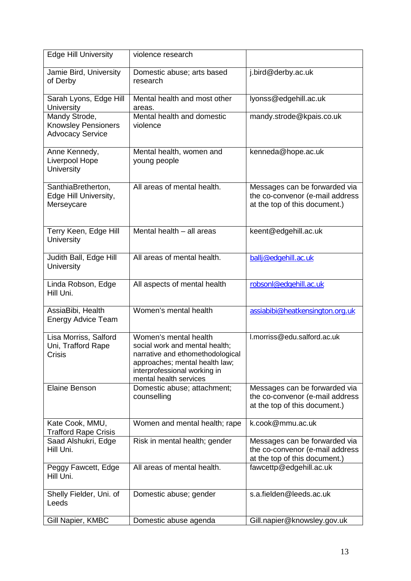| <b>Edge Hill University</b>                                            | violence research                                                                                                                                                                       |                                                                                                   |
|------------------------------------------------------------------------|-----------------------------------------------------------------------------------------------------------------------------------------------------------------------------------------|---------------------------------------------------------------------------------------------------|
| Jamie Bird, University<br>of Derby                                     | Domestic abuse; arts based<br>research                                                                                                                                                  | j.bird@derby.ac.uk                                                                                |
| Sarah Lyons, Edge Hill<br>University                                   | Mental health and most other<br>areas.                                                                                                                                                  | lyonss@edgehill.ac.uk                                                                             |
| Mandy Strode,<br><b>Knowsley Pensioners</b><br><b>Advocacy Service</b> | Mental health and domestic<br>violence                                                                                                                                                  | mandy.strode@kpais.co.uk                                                                          |
| Anne Kennedy,<br>Liverpool Hope<br><b>University</b>                   | Mental health, women and<br>young people                                                                                                                                                | kenneda@hope.ac.uk                                                                                |
| SanthiaBretherton,<br>Edge Hill University,<br>Merseycare              | All areas of mental health.                                                                                                                                                             | Messages can be forwarded via<br>the co-convenor (e-mail address<br>at the top of this document.) |
| Terry Keen, Edge Hill<br><b>University</b>                             | Mental health - all areas                                                                                                                                                               | keent@edgehill.ac.uk                                                                              |
| Judith Ball, Edge Hill<br><b>University</b>                            | All areas of mental health.                                                                                                                                                             | ballj@edgehill.ac.uk                                                                              |
| Linda Robson, Edge<br>Hill Uni.                                        | All aspects of mental health                                                                                                                                                            | robsonl@edgehill.ac.uk                                                                            |
| AssiaBibi, Health<br><b>Energy Advice Team</b>                         | Women's mental health                                                                                                                                                                   | assiabibi@heatkensington.org.uk                                                                   |
| Lisa Morriss, Salford<br>Uni, Trafford Rape<br><b>Crisis</b>           | Women's mental health<br>social work and mental health;<br>narrative and ethomethodological<br>approaches; mental health law;<br>interprofessional working in<br>mental health services | I.morriss@edu.salford.ac.uk                                                                       |
| <b>Elaine Benson</b>                                                   | Domestic abuse; attachment;<br>counselling                                                                                                                                              | Messages can be forwarded via<br>the co-convenor (e-mail address<br>at the top of this document.) |
| Kate Cook, MMU,<br><b>Trafford Rape Crisis</b>                         | Women and mental health; rape                                                                                                                                                           | k.cook@mmu.ac.uk                                                                                  |
| Saad Alshukri, Edge<br>Hill Uni.                                       | Risk in mental health; gender                                                                                                                                                           | Messages can be forwarded via<br>the co-convenor (e-mail address<br>at the top of this document.) |
| Peggy Fawcett, Edge<br>Hill Uni.                                       | All areas of mental health.                                                                                                                                                             | fawcettp@edgehill.ac.uk                                                                           |
| Shelly Fielder, Uni. of<br>Leeds                                       | Domestic abuse; gender                                                                                                                                                                  | s.a.fielden@leeds.ac.uk                                                                           |
| Gill Napier, KMBC                                                      | Domestic abuse agenda                                                                                                                                                                   | Gill.napier@knowsley.gov.uk                                                                       |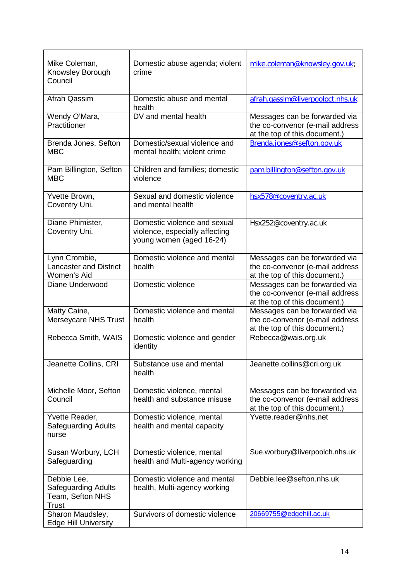| Mike Coleman,<br>Knowsley Borough<br>Council                                  | Domestic abuse agenda; violent<br>crime                                                    | mike.coleman@knowsley.gov.uk;                                                                     |
|-------------------------------------------------------------------------------|--------------------------------------------------------------------------------------------|---------------------------------------------------------------------------------------------------|
| Afrah Qassim                                                                  | Domestic abuse and mental<br>health                                                        | afrah.gassim@liverpoolpct.nhs.uk                                                                  |
| Wendy O'Mara,<br>Practitioner                                                 | DV and mental health                                                                       | Messages can be forwarded via<br>the co-convenor (e-mail address<br>at the top of this document.) |
| Brenda Jones, Sefton<br><b>MBC</b>                                            | Domestic/sexual violence and<br>mental health; violent crime                               | Brenda.jones@sefton.gov.uk                                                                        |
| Pam Billington, Sefton<br><b>MBC</b>                                          | Children and families; domestic<br>violence                                                | pam.billington@sefton.gov.uk                                                                      |
| Yvette Brown,<br>Coventry Uni.                                                | Sexual and domestic violence<br>and mental health                                          | hsx578@coventry.ac.uk                                                                             |
| Diane Phimister,<br>Coventry Uni.                                             | Domestic violence and sexual<br>violence, especially affecting<br>young women (aged 16-24) | Hsx252@coventry.ac.uk                                                                             |
| Lynn Crombie,<br><b>Lancaster and District</b><br>Women's Aid                 | Domestic violence and mental<br>health                                                     | Messages can be forwarded via<br>the co-convenor (e-mail address<br>at the top of this document.) |
| Diane Underwood                                                               | Domestic violence                                                                          | Messages can be forwarded via<br>the co-convenor (e-mail address<br>at the top of this document.) |
| Matty Caine,<br>Merseycare NHS Trust                                          | Domestic violence and mental<br>health                                                     | Messages can be forwarded via<br>the co-convenor (e-mail address<br>at the top of this document.) |
| Rebecca Smith, WAIS                                                           | Domestic violence and gender<br>identity                                                   | Rebecca@wais.org.uk                                                                               |
| Jeanette Collins, CRI                                                         | Substance use and mental<br>health                                                         | Jeanette.collins@cri.org.uk                                                                       |
| Michelle Moor, Sefton<br>Council                                              | Domestic violence, mental<br>health and substance misuse                                   | Messages can be forwarded via<br>the co-convenor (e-mail address<br>at the top of this document.) |
| Yvette Reader,<br><b>Safeguarding Adults</b><br>nurse                         | Domestic violence, mental<br>health and mental capacity                                    | Yvette.reader@nhs.net                                                                             |
| Susan Worbury, LCH<br>Safeguarding                                            | Domestic violence, mental<br>health and Multi-agency working                               | Sue.worbury@liverpoolch.nhs.uk                                                                    |
| Debbie Lee,<br><b>Safeguarding Adults</b><br>Team, Sefton NHS<br><b>Trust</b> | Domestic violence and mental<br>health, Multi-agency working                               | Debbie.lee@sefton.nhs.uk                                                                          |
| Sharon Maudsley,<br><b>Edge Hill University</b>                               | Survivors of domestic violence                                                             | 20669755@edgehill.ac.uk                                                                           |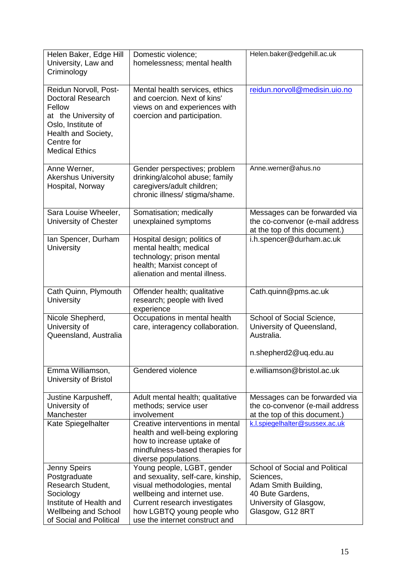| Helen Baker, Edge Hill<br>University, Law and<br>Criminology                                                                                                            | Domestic violence;<br>homelessness; mental health                                                                                                                                                                                | Helen.baker@edgehill.ac.uk                                                                                                            |
|-------------------------------------------------------------------------------------------------------------------------------------------------------------------------|----------------------------------------------------------------------------------------------------------------------------------------------------------------------------------------------------------------------------------|---------------------------------------------------------------------------------------------------------------------------------------|
| Reidun Norvoll, Post-<br><b>Doctoral Research</b><br>Fellow<br>at the University of<br>Oslo, Institute of<br>Health and Society,<br>Centre for<br><b>Medical Ethics</b> | Mental health services, ethics<br>and coercion. Next of kins'<br>views on and experiences with<br>coercion and participation.                                                                                                    | reidun.norvoll@medisin.uio.no                                                                                                         |
| Anne Werner,<br><b>Akershus University</b><br>Hospital, Norway                                                                                                          | Gender perspectives; problem<br>drinking/alcohol abuse; family<br>caregivers/adult children;<br>chronic illness/ stigma/shame.                                                                                                   | Anne.werner@ahus.no                                                                                                                   |
| Sara Louise Wheeler,<br>University of Chester                                                                                                                           | Somatisation; medically<br>unexplained symptoms                                                                                                                                                                                  | Messages can be forwarded via<br>the co-convenor (e-mail address<br>at the top of this document.)                                     |
| Ian Spencer, Durham<br>University                                                                                                                                       | Hospital design; politics of<br>mental health; medical<br>technology; prison mental<br>health; Marxist concept of<br>alienation and mental illness.                                                                              | i.h.spencer@durham.ac.uk                                                                                                              |
| Cath Quinn, Plymouth<br>University                                                                                                                                      | Offender health; qualitative<br>research; people with lived<br>experience                                                                                                                                                        | Cath.quinn@pms.ac.uk                                                                                                                  |
| Nicole Shepherd,<br>University of<br>Queensland, Australia                                                                                                              | Occupations in mental health<br>care, interagency collaboration.                                                                                                                                                                 | School of Social Science,<br>University of Queensland,<br>Australia.<br>n.shepherd2@uq.edu.au                                         |
| Emma Williamson,<br>University of Bristol                                                                                                                               | Gendered violence                                                                                                                                                                                                                | e.williamson@bristol.ac.uk                                                                                                            |
| Justine Karpusheff,<br>University of<br>Manchester                                                                                                                      | Adult mental health; qualitative<br>methods; service user<br>involvement                                                                                                                                                         | Messages can be forwarded via<br>the co-convenor (e-mail address<br>at the top of this document.)                                     |
| Kate Spiegelhalter                                                                                                                                                      | Creative interventions in mental<br>health and well-being exploring<br>how to increase uptake of<br>mindfulness-based therapies for<br>diverse populations.                                                                      | k.l.spiegelhalter@sussex.ac.uk                                                                                                        |
| Jenny Speirs<br>Postgraduate<br>Research Student,<br>Sociology<br>Institute of Health and<br><b>Wellbeing and School</b><br>of Social and Political                     | Young people, LGBT, gender<br>and sexuality, self-care, kinship,<br>visual methodologies, mental<br>wellbeing and internet use.<br>Current research investigates<br>how LGBTQ young people who<br>use the internet construct and | School of Social and Political<br>Sciences,<br>Adam Smith Building,<br>40 Bute Gardens,<br>University of Glasgow,<br>Glasgow, G12 8RT |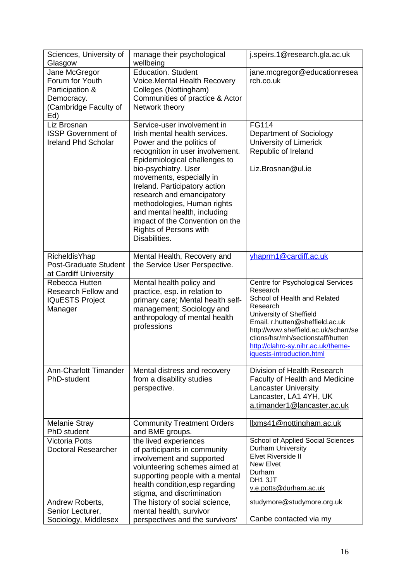| Sciences, University of<br>Glasgow                                                                | manage their psychological<br>wellbeing                                                                                                                                                                                                                                                                                                                                                                                       | j.speirs.1@research.gla.ac.uk                                                                                                                                                                                                                                                                           |
|---------------------------------------------------------------------------------------------------|-------------------------------------------------------------------------------------------------------------------------------------------------------------------------------------------------------------------------------------------------------------------------------------------------------------------------------------------------------------------------------------------------------------------------------|---------------------------------------------------------------------------------------------------------------------------------------------------------------------------------------------------------------------------------------------------------------------------------------------------------|
| Jane McGregor<br>Forum for Youth<br>Participation &<br>Democracy.<br>(Cambridge Faculty of<br>Ed) | <b>Education. Student</b><br>Voice. Mental Health Recovery<br>Colleges (Nottingham)<br>Communities of practice & Actor<br>Network theory                                                                                                                                                                                                                                                                                      | jane.mcgregor@educationresea<br>rch.co.uk                                                                                                                                                                                                                                                               |
| Liz Brosnan<br><b>ISSP Government of</b><br><b>Ireland Phd Scholar</b>                            | Service-user involvement in<br>Irish mental health services.<br>Power and the politics of<br>recognition in user involvement.<br>Epidemiological challenges to<br>bio-psychiatry. User<br>movements, especially in<br>Ireland. Participatory action<br>research and emancipatory<br>methodologies, Human rights<br>and mental health, including<br>impact of the Convention on the<br>Rights of Persons with<br>Disabilities. | <b>FG114</b><br>Department of Sociology<br>University of Limerick<br>Republic of Ireland<br>Liz.Brosnan@ul.ie                                                                                                                                                                                           |
| <b>RicheldisYhap</b><br>Post-Graduate Student<br>at Cardiff University                            | Mental Health, Recovery and<br>the Service User Perspective.                                                                                                                                                                                                                                                                                                                                                                  | yhaprm1@cardiff.ac.uk                                                                                                                                                                                                                                                                                   |
| Rebecca Hutten<br><b>Research Fellow and</b><br><b>IQuESTS Project</b><br>Manager                 | Mental health policy and<br>practice, esp. in relation to<br>primary care; Mental health self-<br>management; Sociology and<br>anthropology of mental health<br>professions                                                                                                                                                                                                                                                   | Centre for Psychological Services<br>Research<br>School of Health and Related<br>Research<br>University of Sheffield<br>Email. r.hutten@sheffield.ac.uk<br>http://www.sheffield.ac.uk/scharr/se<br>ctions/hsr/mh/sectionstaff/hutten<br>http://clahrc-sy.nihr.ac.uk/theme-<br>iquests-introduction.html |
| <b>Ann-Charlott Timander</b><br>PhD-student                                                       | Mental distress and recovery<br>from a disability studies<br>perspective.                                                                                                                                                                                                                                                                                                                                                     | Division of Health Research<br>Faculty of Health and Medicine<br><b>Lancaster University</b><br>Lancaster, LA1 4YH, UK<br>a.timander1@lancaster.ac.uk                                                                                                                                                   |
| <b>Melanie Stray</b><br>PhD student                                                               | <b>Community Treatment Orders</b><br>and BME groups.                                                                                                                                                                                                                                                                                                                                                                          | Ilxms41@nottingham.ac.uk                                                                                                                                                                                                                                                                                |
| <b>Victoria Potts</b><br>Doctoral Researcher                                                      | the lived experiences<br>of participants in community<br>involvement and supported<br>volunteering schemes aimed at<br>supporting people with a mental<br>health condition, esp regarding<br>stigma, and discrimination                                                                                                                                                                                                       | School of Applied Social Sciences<br>Durham University<br><b>Elvet Riverside II</b><br>New Elvet<br>Durham<br>DH1 3JT<br>v.e.potts@durham.ac.uk                                                                                                                                                         |
| Andrew Roberts,<br>Senior Lecturer,<br>Sociology, Middlesex                                       | The history of social science,<br>mental health, survivor<br>perspectives and the survivors'                                                                                                                                                                                                                                                                                                                                  | studymore@studymore.org.uk<br>Canbe contacted via my                                                                                                                                                                                                                                                    |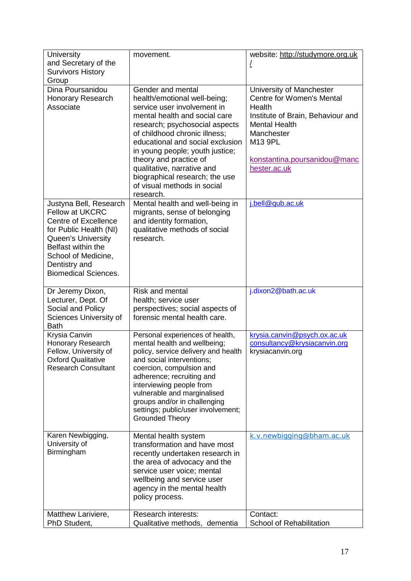| <b>University</b><br>and Secretary of the                                                                                                                                                                                    | movement.                                                                                                                                                                                                                                                                                                                                                                                         | website: http://studymore.org.uk<br>Ţ                                                                                                                                                                 |
|------------------------------------------------------------------------------------------------------------------------------------------------------------------------------------------------------------------------------|---------------------------------------------------------------------------------------------------------------------------------------------------------------------------------------------------------------------------------------------------------------------------------------------------------------------------------------------------------------------------------------------------|-------------------------------------------------------------------------------------------------------------------------------------------------------------------------------------------------------|
| <b>Survivors History</b><br>Group                                                                                                                                                                                            |                                                                                                                                                                                                                                                                                                                                                                                                   |                                                                                                                                                                                                       |
| Dina Poursanidou<br>Honorary Research<br>Associate                                                                                                                                                                           | Gender and mental<br>health/emotional well-being;<br>service user involvement in<br>mental health and social care<br>research; psychosocial aspects<br>of childhood chronic illness;<br>educational and social exclusion<br>in young people; youth justice;<br>theory and practice of<br>qualitative, narrative and<br>biographical research; the use<br>of visual methods in social<br>research. | University of Manchester<br>Centre for Women's Mental<br>Health<br>Institute of Brain, Behaviour and<br><b>Mental Health</b><br>Manchester<br>M13 9PL<br>konstantina.poursanidou@manc<br>hester.ac.uk |
| Justyna Bell, Research<br><b>Fellow at UKCRC</b><br><b>Centre of Excellence</b><br>for Public Health (NI)<br>Queen's University<br>Belfast within the<br>School of Medicine,<br>Dentistry and<br><b>Biomedical Sciences.</b> | Mental health and well-being in<br>migrants, sense of belonging<br>and identity formation,<br>qualitative methods of social<br>research.                                                                                                                                                                                                                                                          | j.bell@qub.ac.uk                                                                                                                                                                                      |
| Dr Jeremy Dixon,<br>Lecturer, Dept. Of<br>Social and Policy<br>Sciences University of<br><b>Bath</b>                                                                                                                         | <b>Risk and mental</b><br>health; service user<br>perspectives; social aspects of<br>forensic mental health care.                                                                                                                                                                                                                                                                                 | j.dixon2@bath.ac.uk                                                                                                                                                                                   |
| Krysia Canvin<br>Honorary Research<br>Fellow, University of<br><b>Oxford Qualitative</b><br><b>Research Consultant</b>                                                                                                       | Personal experiences of health,<br>mental health and wellbeing;<br>policy, service delivery and health<br>and social interventions;<br>coercion, compulsion and<br>adherence; recruiting and<br>interviewing people from<br>vulnerable and marginalised<br>groups and/or in challenging<br>settings; public/user involvement;<br><b>Grounded Theory</b>                                           | krysia.canvin@psych.ox.ac.uk<br>consultancy@krysiacanvin.org<br>krysiacanvin.org                                                                                                                      |
| Karen Newbigging,<br>University of<br>Birmingham                                                                                                                                                                             | Mental health system<br>transformation and have most<br>recently undertaken research in<br>the area of advocacy and the<br>service user voice; mental<br>wellbeing and service user<br>agency in the mental health<br>policy process.                                                                                                                                                             | k.v.newbigging@bham.ac.uk                                                                                                                                                                             |
| Matthew Lariviere,<br>PhD Student,                                                                                                                                                                                           | <b>Research interests:</b><br>Qualitative methods, dementia                                                                                                                                                                                                                                                                                                                                       | Contact:<br>School of Rehabilitation                                                                                                                                                                  |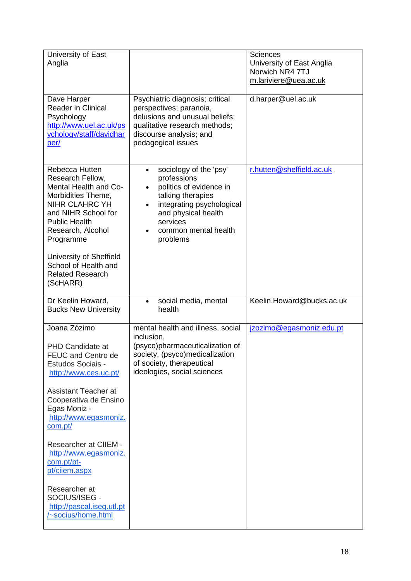| University of East<br>Anglia                                                                                                                                                         |                                                                                                                                                                                                                                  | <b>Sciences</b><br>University of East Anglia<br>Norwich NR4 7TJ<br>m.lariviere@uea.ac.uk |
|--------------------------------------------------------------------------------------------------------------------------------------------------------------------------------------|----------------------------------------------------------------------------------------------------------------------------------------------------------------------------------------------------------------------------------|------------------------------------------------------------------------------------------|
| Dave Harper<br>Reader in Clinical<br>Psychology<br>http://www.uel.ac.uk/ps<br>ychology/staff/davidhar<br>per/                                                                        | Psychiatric diagnosis; critical<br>perspectives; paranoia,<br>delusions and unusual beliefs;<br>qualitative research methods;<br>discourse analysis; and<br>pedagogical issues                                                   | d.harper@uel.ac.uk                                                                       |
| Rebecca Hutten<br>Research Fellow,<br>Mental Health and Co-<br>Morbidities Theme,<br>NIHR CLAHRC YH<br>and NIHR School for<br><b>Public Health</b><br>Research, Alcohol<br>Programme | sociology of the 'psy'<br>$\bullet$<br>professions<br>politics of evidence in<br>$\bullet$<br>talking therapies<br>integrating psychological<br>$\bullet$<br>and physical health<br>services<br>common mental health<br>problems | r.hutten@sheffield.ac.uk                                                                 |
| University of Sheffield<br>School of Health and<br><b>Related Research</b><br>(ScHARR)                                                                                               |                                                                                                                                                                                                                                  |                                                                                          |
| Dr Keelin Howard,<br><b>Bucks New University</b>                                                                                                                                     | social media, mental<br>health                                                                                                                                                                                                   | Keelin.Howard@bucks.ac.uk                                                                |
| Joana Zózimo                                                                                                                                                                         | mental health and illness, social                                                                                                                                                                                                | jzozimo@egasmoniz.edu.pt                                                                 |
| <b>PHD Candidate at</b><br>FEUC and Centro de<br>Estudos Sociais -<br>http://www.ces.uc.pt/<br><b>Assistant Teacher at</b>                                                           | inclusion,<br>(psyco)pharmaceuticalization of<br>society, (psyco)medicalization<br>of society, therapeutical<br>ideologies, social sciences                                                                                      |                                                                                          |
| Cooperativa de Ensino<br>Egas Moniz -<br>http://www.egasmoniz.<br>com.pt/                                                                                                            |                                                                                                                                                                                                                                  |                                                                                          |
| Researcher at CIIEM -<br>http://www.egasmoniz.<br>com.pt/pt-<br>pt/ciiem.aspx                                                                                                        |                                                                                                                                                                                                                                  |                                                                                          |